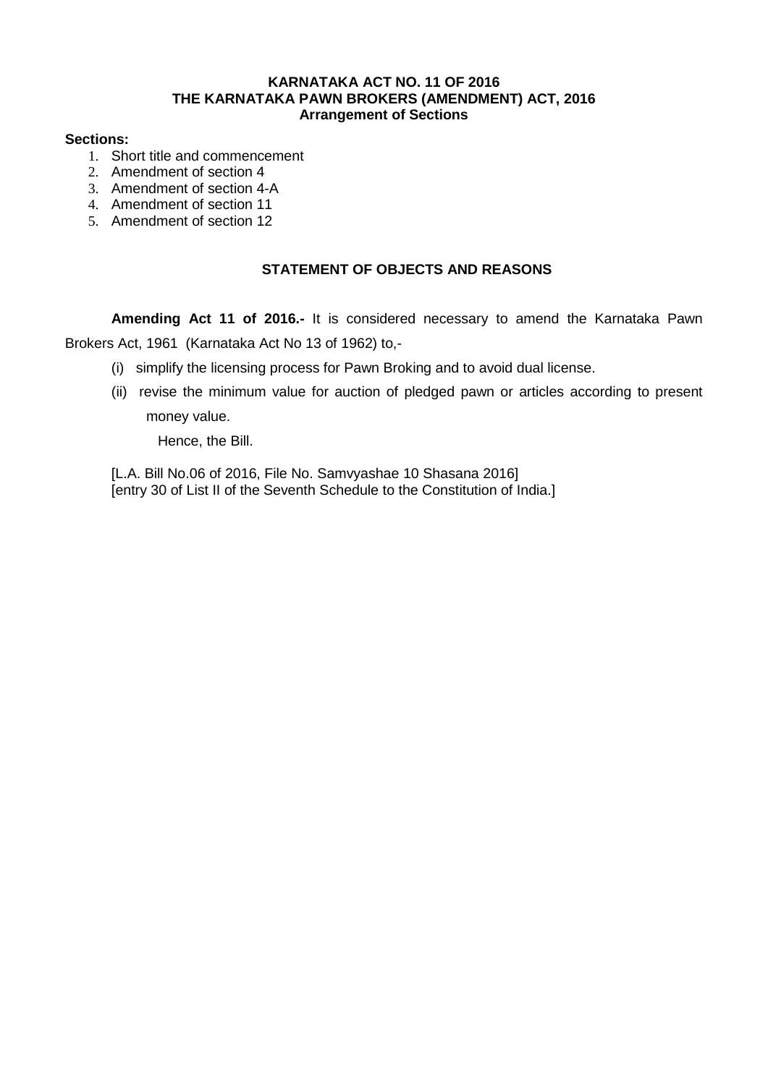## **KARNATAKA ACT NO. 11 OF 2016 THE KARNATAKA PAWN BROKERS (AMENDMENT) ACT, 2016 Arrangement of Sections**

### **Sections:**

- 1. Short title and commencement
- 2. Amendment of section 4
- 3. Amendment of section 4-A
- 4. Amendment of section 11
- 5. Amendment of section 12

# **STATEMENT OF OBJECTS AND REASONS**

**Amending Act 11 of 2016.-** It is considered necessary to amend the Karnataka Pawn Brokers Act, 1961 (Karnataka Act No 13 of 1962) to,-

- (i) simplify the licensing process for Pawn Broking and to avoid dual license.
- (ii) revise the minimum value for auction of pledged pawn or articles according to present money value.

Hence, the Bill.

[L.A. Bill No.06 of 2016, File No. Samyyashae 10 Shasana 2016] [entry 30 of List II of the Seventh Schedule to the Constitution of India.]